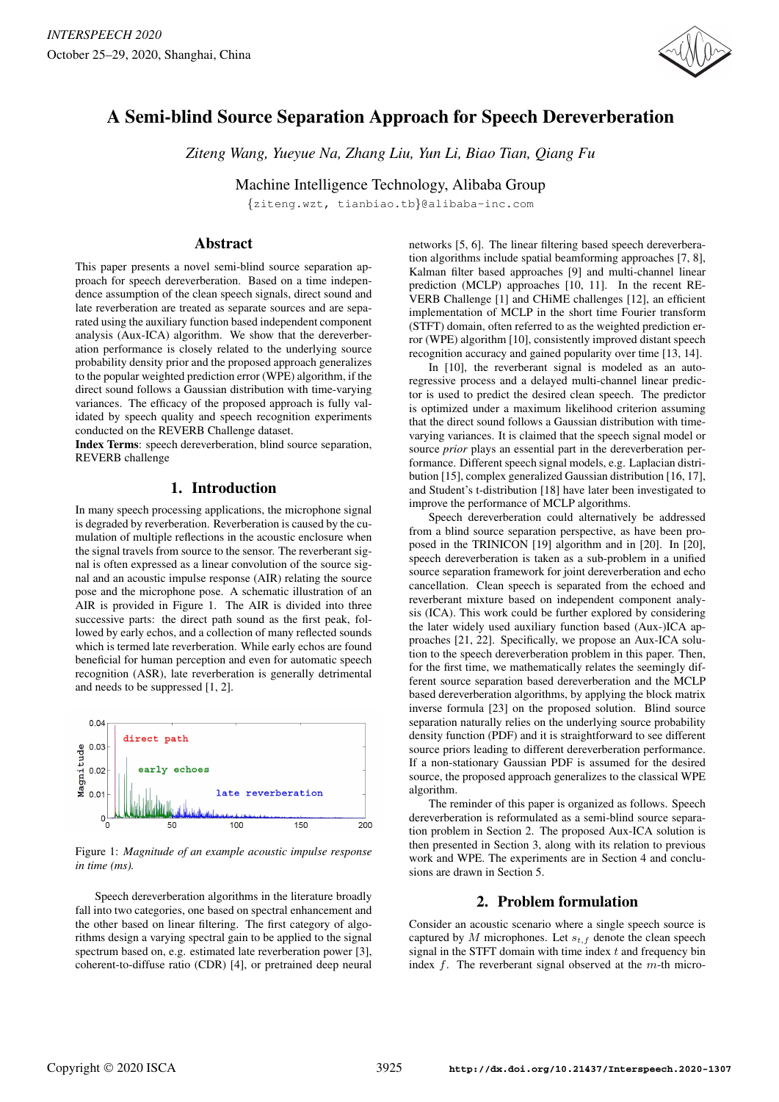

# A Semi-blind Source Separation Approach for Speech Dereverberation

*Ziteng Wang, Yueyue Na, Zhang Liu, Yun Li, Biao Tian, Qiang Fu*

Machine Intelligence Technology, Alibaba Group

{ziteng.wzt, tianbiao.tb}@alibaba-inc.com

## **Abstract**

This paper presents a novel semi-blind source separation approach for speech dereverberation. Based on a time independence assumption of the clean speech signals, direct sound and late reverberation are treated as separate sources and are separated using the auxiliary function based independent component analysis (Aux-ICA) algorithm. We show that the dereverberation performance is closely related to the underlying source probability density prior and the proposed approach generalizes to the popular weighted prediction error (WPE) algorithm, if the direct sound follows a Gaussian distribution with time-varying variances. The efficacy of the proposed approach is fully validated by speech quality and speech recognition experiments conducted on the REVERB Challenge dataset.

Index Terms: speech dereverberation, blind source separation, REVERB challenge

### 1. Introduction

In many speech processing applications, the microphone signal is degraded by reverberation. Reverberation is caused by the cumulation of multiple reflections in the acoustic enclosure when the signal travels from source to the sensor. The reverberant signal is often expressed as a linear convolution of the source signal and an acoustic impulse response (AIR) relating the source pose and the microphone pose. A schematic illustration of an AIR is provided in Figure 1. The AIR is divided into three successive parts: the direct path sound as the first peak, followed by early echos, and a collection of many reflected sounds which is termed late reverberation. While early echos are found beneficial for human perception and even for automatic speech recognition (ASR), late reverberation is generally detrimental and needs to be suppressed [1, 2].



Figure 1: *Magnitude of an example acoustic impulse response in time (ms).*

Speech dereverberation algorithms in the literature broadly fall into two categories, one based on spectral enhancement and the other based on linear filtering. The first category of algorithms design a varying spectral gain to be applied to the signal spectrum based on, e.g. estimated late reverberation power [3], coherent-to-diffuse ratio (CDR) [4], or pretrained deep neural networks [5, 6]. The linear filtering based speech dereverberation algorithms include spatial beamforming approaches [7, 8], Kalman filter based approaches [9] and multi-channel linear prediction (MCLP) approaches [10, 11]. In the recent RE-VERB Challenge [1] and CHiME challenges [12], an efficient implementation of MCLP in the short time Fourier transform (STFT) domain, often referred to as the weighted prediction error (WPE) algorithm [10], consistently improved distant speech recognition accuracy and gained popularity over time [13, 14].

In [10], the reverberant signal is modeled as an autoregressive process and a delayed multi-channel linear predictor is used to predict the desired clean speech. The predictor is optimized under a maximum likelihood criterion assuming that the direct sound follows a Gaussian distribution with timevarying variances. It is claimed that the speech signal model or source *prior* plays an essential part in the dereverberation performance. Different speech signal models, e.g. Laplacian distribution [15], complex generalized Gaussian distribution [16, 17], and Student's t-distribution [18] have later been investigated to improve the performance of MCLP algorithms.

Speech dereverberation could alternatively be addressed from a blind source separation perspective, as have been proposed in the TRINICON [19] algorithm and in [20]. In [20], speech dereverberation is taken as a sub-problem in a unified source separation framework for joint dereverberation and echo cancellation. Clean speech is separated from the echoed and reverberant mixture based on independent component analysis (ICA). This work could be further explored by considering the later widely used auxiliary function based (Aux-)ICA approaches [21, 22]. Specifically, we propose an Aux-ICA solution to the speech dereverberation problem in this paper. Then, for the first time, we mathematically relates the seemingly different source separation based dereverberation and the MCLP based dereverberation algorithms, by applying the block matrix inverse formula [23] on the proposed solution. Blind source separation naturally relies on the underlying source probability density function (PDF) and it is straightforward to see different source priors leading to different dereverberation performance. If a non-stationary Gaussian PDF is assumed for the desired source, the proposed approach generalizes to the classical WPE algorithm.

The reminder of this paper is organized as follows. Speech dereverberation is reformulated as a semi-blind source separation problem in Section 2. The proposed Aux-ICA solution is then presented in Section 3, along with its relation to previous work and WPE. The experiments are in Section 4 and conclusions are drawn in Section 5.

# 2. Problem formulation

Consider an acoustic scenario where a single speech source is captured by  $M$  microphones. Let  $s_{t,f}$  denote the clean speech signal in the STFT domain with time index  $t$  and frequency bin index  $f$ . The reverberant signal observed at the  $m$ -th micro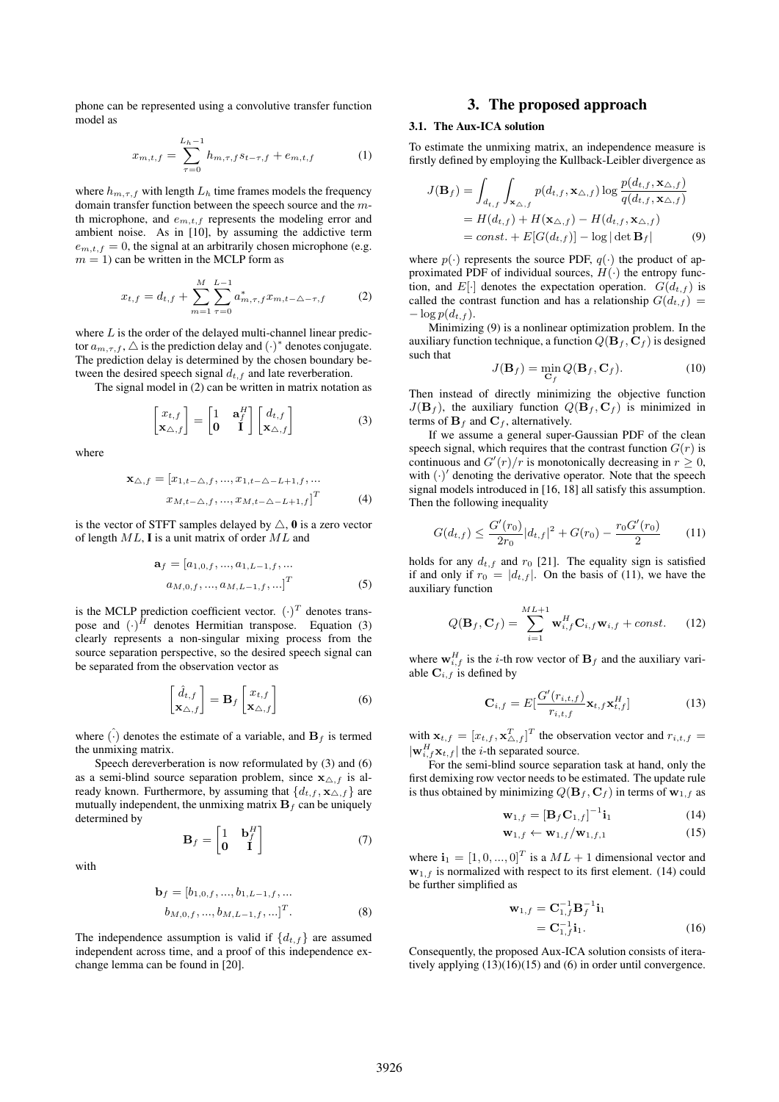phone can be represented using a convolutive transfer function model as

$$
x_{m,t,f} = \sum_{\tau=0}^{L_h-1} h_{m,\tau,f} s_{t-\tau,f} + e_{m,t,f} \tag{1}
$$

where  $h_{m,\tau,f}$  with length  $L_h$  time frames models the frequency domain transfer function between the speech source and the mth microphone, and  $e_{m,t,f}$  represents the modeling error and ambient noise. As in [10], by assuming the addictive term  $e_{m,t,f} = 0$ , the signal at an arbitrarily chosen microphone (e.g.  $m = 1$ ) can be written in the MCLP form as

$$
x_{t,f} = d_{t,f} + \sum_{m=1}^{M} \sum_{\tau=0}^{L-1} a_{m,\tau,f}^* x_{m,t-\Delta-\tau,f}
$$
 (2)

where  $L$  is the order of the delayed multi-channel linear predictor  $a_{m,\tau,f}$ ,  $\triangle$  is the prediction delay and  $(\cdot)^*$  denotes conjugate. The prediction delay is determined by the chosen boundary between the desired speech signal  $d_{t,f}$  and late reverberation.

The signal model in (2) can be written in matrix notation as

$$
\begin{bmatrix} x_{t,f} \\ \mathbf{x}_{\triangle,f} \end{bmatrix} = \begin{bmatrix} 1 & \mathbf{a}_f^H \\ \mathbf{0} & \mathbf{I} \end{bmatrix} \begin{bmatrix} d_{t,f} \\ \mathbf{x}_{\triangle,f} \end{bmatrix}
$$
(3)

where

with

$$
\mathbf{x}_{\triangle,f} = [x_{1,t-\triangle,f}, ..., x_{1,t-\triangle-L+1,f}, ... x_{M,t-\triangle,f}, ..., x_{M,t-\triangle-L+1,f}]^T
$$
(4)

is the vector of STFT samples delayed by  $\triangle$ , 0 is a zero vector of length  $ML$ , **I** is a unit matrix of order  $ML$  and

$$
\mathbf{a}_{f} = [a_{1,0,f},...,a_{1,L-1,f},...]
$$

$$
a_{M,0,f},...,a_{M,L-1,f},...]^T
$$
(5)

is the MCLP prediction coefficient vector.  $(\cdot)^T$  denotes transpose and  $(\cdot)^H$  denotes Hermitian transpose. Equation (3) clearly represents a non-singular mixing process from the source separation perspective, so the desired speech signal can be separated from the observation vector as

$$
\begin{bmatrix} \hat{d}_{t,f} \\ \mathbf{x}_{\triangle,f} \end{bmatrix} = \mathbf{B}_f \begin{bmatrix} x_{t,f} \\ \mathbf{x}_{\triangle,f} \end{bmatrix}
$$
 (6)

where  $\widehat{(\cdot)}$  denotes the estimate of a variable, and  $\mathbf{B}_f$  is termed the unmixing matrix.

Speech dereverberation is now reformulated by (3) and (6) as a semi-blind source separation problem, since  $\mathbf{x}_{\Delta,f}$  is already known. Furthermore, by assuming that  $\{d_{t,f}, \mathbf{x}_{\Delta,f}\}\$  are mutually independent, the unmixing matrix  $B_f$  can be uniquely determined by

$$
\mathbf{B}_f = \begin{bmatrix} 1 & \mathbf{b}_f^H \\ \mathbf{0} & \mathbf{I} \end{bmatrix} \tag{7}
$$

$$
\mathbf{b}_{f} = [b_{1,0,f},...,b_{1,L-1,f},...]
$$

$$
b_{M,0,f},...,b_{M,L-1,f},...]^T.
$$
 (8)

The independence assumption is valid if  $\{d_{t,f}\}\$ are assumed independent across time, and a proof of this independence exchange lemma can be found in [20].

#### 3. The proposed approach

#### 3.1. The Aux-ICA solution

To estimate the unmixing matrix, an independence measure is firstly defined by employing the Kullback-Leibler divergence as

$$
J(\mathbf{B}_f) = \int_{d_{t,f}} \int_{\mathbf{x}_{\triangle,f}} p(d_{t,f}, \mathbf{x}_{\triangle,f}) \log \frac{p(d_{t,f}, \mathbf{x}_{\triangle,f})}{q(d_{t,f}, \mathbf{x}_{\triangle,f})}
$$
  
=  $H(d_{t,f}) + H(\mathbf{x}_{\triangle,f}) - H(d_{t,f}, \mathbf{x}_{\triangle,f})$   
=  $const. + E[G(d_{t,f})] - \log |\det \mathbf{B}_f|$  (9)

where  $p(.)$  represents the source PDF,  $q(.)$  the product of approximated PDF of individual sources,  $H(\cdot)$  the entropy function, and  $E[\cdot]$  denotes the expectation operation.  $G(d_{t,f})$  is called the contrast function and has a relationship  $G(d_{t,f}) =$  $-\log p(d_{t,f}).$ 

Minimizing (9) is a nonlinear optimization problem. In the auxiliary function technique, a function  $Q(\mathbf{B}_f, \mathbf{C}_f)$  is designed such that

$$
J(\mathbf{B}_f) = \min_{\mathbf{C}_f} Q(\mathbf{B}_f, \mathbf{C}_f).
$$
 (10)

Then instead of directly minimizing the objective function  $J(\mathbf{B}_f)$ , the auxiliary function  $Q(\mathbf{B}_f, \mathbf{C}_f)$  is minimized in terms of  $\mathbf{B}_f$  and  $\mathbf{C}_f$ , alternatively.

If we assume a general super-Gaussian PDF of the clean speech signal, which requires that the contrast function  $G(r)$  is continuous and  $G'(r)/r$  is monotonically decreasing in  $r \geq 0$ , with  $(\cdot)'$  denoting the derivative operator. Note that the speech signal models introduced in [16, 18] all satisfy this assumption. Then the following inequality

$$
G(d_{t,f}) \le \frac{G'(r_0)}{2r_0} |d_{t,f}|^2 + G(r_0) - \frac{r_0 G'(r_0)}{2} \tag{11}
$$

holds for any  $d_{t,f}$  and  $r_0$  [21]. The equality sign is satisfied if and only if  $r_0 = |d_{t,f}|$ . On the basis of (11), we have the auxiliary function

$$
Q(\mathbf{B}_f, \mathbf{C}_f) = \sum_{i=1}^{ML+1} \mathbf{w}_{i,f}^H \mathbf{C}_{i,f} \mathbf{w}_{i,f} + const.
$$
 (12)

where  $\mathbf{w}_{i,f}^H$  is the *i*-th row vector of  $\mathbf{B}_f$  and the auxiliary variable  $\mathbf{C}_{i,f}$  is defined by

$$
\mathbf{C}_{i,f} = E\left[\frac{G'(r_{i,t,f})}{r_{i,t,f}} \mathbf{x}_{t,f} \mathbf{x}_{t,f}^H\right]
$$
(13)

with  $\mathbf{x}_{t,f} = [x_{t,f}, \mathbf{x}_{\Delta,f}^T]^T$  the observation vector and  $r_{i,t,f}$  $|\mathbf{w}_{i,f}^H\mathbf{x}_{t,f}|$  the *i*-th separated source.

For the semi-blind source separation task at hand, only the first demixing row vector needs to be estimated. The update rule is thus obtained by minimizing  $Q(\mathbf{B}_f, \mathbf{C}_f)$  in terms of  $\mathbf{w}_{1,f}$  as

$$
\mathbf{w}_{1,f} = \left[\mathbf{B}_f \mathbf{C}_{1,f}\right]^{-1} \mathbf{i}_1 \tag{14}
$$

$$
\mathbf{w}_{1,f} \leftarrow \mathbf{w}_{1,f} / \mathbf{w}_{1,f,1} \tag{15}
$$

where  $\mathbf{i}_1 = [1, 0, ..., 0]^T$  is a  $ML + 1$  dimensional vector and  $\mathbf{w}_{1,f}$  is normalized with respect to its first element. (14) could be further simplified as

$$
\mathbf{w}_{1,f} = \mathbf{C}_{1,f}^{-1} \mathbf{B}_{f}^{-1} \mathbf{i}_{1} \n= \mathbf{C}_{1,f}^{-1} \mathbf{i}_{1}.
$$
\n(16)

Consequently, the proposed Aux-ICA solution consists of iteratively applying (13)(16)(15) and (6) in order until convergence.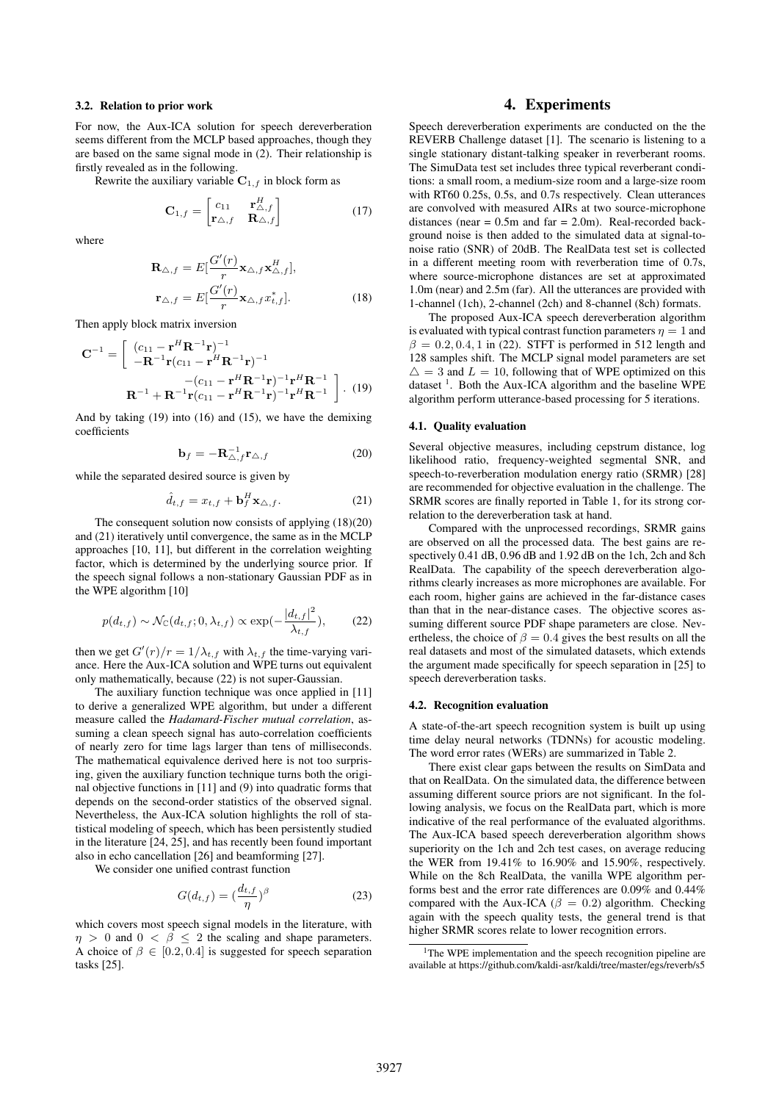#### 3.2. Relation to prior work

For now, the Aux-ICA solution for speech dereverberation seems different from the MCLP based approaches, though they are based on the same signal mode in (2). Their relationship is firstly revealed as in the following.

Rewrite the auxiliary variable  $C_{1,f}$  in block form as

$$
\mathbf{C}_{1,f} = \begin{bmatrix} c_{11} & \mathbf{r}_{\Delta,f}^H \\ \mathbf{r}_{\Delta,f} & \mathbf{R}_{\Delta,f} \end{bmatrix}
$$
 (17)

where

$$
\mathbf{R}_{\triangle,f} = E\left[\frac{G'(r)}{r}\mathbf{x}_{\triangle,f}\mathbf{x}_{\triangle,f}^H\right],
$$
  

$$
\mathbf{r}_{\triangle,f} = E\left[\frac{G'(r)}{r}\mathbf{x}_{\triangle,f}x_{t,f}^*\right].
$$
 (18)

Then apply block matrix inversion

$$
\mathbf{C}^{-1} = \begin{bmatrix} (c_{11} - \mathbf{r}^H \mathbf{R}^{-1} \mathbf{r})^{-1} \\ -\mathbf{R}^{-1} \mathbf{r} (c_{11} - \mathbf{r}^H \mathbf{R}^{-1} \mathbf{r})^{-1} \end{bmatrix} \\ - (c_{11} - \mathbf{r}^H \mathbf{R}^{-1} \mathbf{r})^{-1} \mathbf{r}^H \mathbf{R}^{-1} \\ \mathbf{R}^{-1} + \mathbf{R}^{-1} \mathbf{r} (c_{11} - \mathbf{r}^H \mathbf{R}^{-1} \mathbf{r})^{-1} \mathbf{r}^H \mathbf{R}^{-1} \end{bmatrix} . \tag{19}
$$

And by taking (19) into (16) and (15), we have the demixing coefficients

$$
\mathbf{b}_f = -\mathbf{R}_{\triangle,f}^{-1} \mathbf{r}_{\triangle,f} \tag{20}
$$

while the separated desired source is given by

$$
\hat{d}_{t,f} = x_{t,f} + \mathbf{b}_f^H \mathbf{x}_{\triangle,f}.
$$
 (21)

The consequent solution now consists of applying (18)(20) and (21) iteratively until convergence, the same as in the MCLP approaches [10, 11], but different in the correlation weighting factor, which is determined by the underlying source prior. If the speech signal follows a non-stationary Gaussian PDF as in the WPE algorithm [10]

$$
p(d_{t,f}) \sim \mathcal{N}_{\mathbb{C}}(d_{t,f}; 0, \lambda_{t,f}) \propto \exp(-\frac{|d_{t,f}|^2}{\lambda_{t,f}}),
$$
 (22)

then we get  $G'(r)/r = 1/\lambda_{t,f}$  with  $\lambda_{t,f}$  the time-varying variance. Here the Aux-ICA solution and WPE turns out equivalent only mathematically, because (22) is not super-Gaussian.

The auxiliary function technique was once applied in [11] to derive a generalized WPE algorithm, but under a different measure called the *Hadamard-Fischer mutual correlation*, assuming a clean speech signal has auto-correlation coefficients of nearly zero for time lags larger than tens of milliseconds. The mathematical equivalence derived here is not too surprising, given the auxiliary function technique turns both the original objective functions in [11] and (9) into quadratic forms that depends on the second-order statistics of the observed signal. Nevertheless, the Aux-ICA solution highlights the roll of statistical modeling of speech, which has been persistently studied in the literature [24, 25], and has recently been found important also in echo cancellation [26] and beamforming [27].

We consider one unified contrast function

$$
G(d_{t,f}) = \left(\frac{d_{t,f}}{\eta}\right)^{\beta} \tag{23}
$$

which covers most speech signal models in the literature, with  $\eta > 0$  and  $0 < \beta < 2$  the scaling and shape parameters. A choice of  $\beta \in [0.2, 0.4]$  is suggested for speech separation tasks [25].

### 4. Experiments

Speech dereverberation experiments are conducted on the the REVERB Challenge dataset [1]. The scenario is listening to a single stationary distant-talking speaker in reverberant rooms. The SimuData test set includes three typical reverberant conditions: a small room, a medium-size room and a large-size room with RT60 0.25s, 0.5s, and 0.7s respectively. Clean utterances are convolved with measured AIRs at two source-microphone distances (near  $= 0.5$ m and far  $= 2.0$ m). Real-recorded background noise is then added to the simulated data at signal-tonoise ratio (SNR) of 20dB. The RealData test set is collected in a different meeting room with reverberation time of 0.7s, where source-microphone distances are set at approximated 1.0m (near) and 2.5m (far). All the utterances are provided with 1-channel (1ch), 2-channel (2ch) and 8-channel (8ch) formats.

The proposed Aux-ICA speech dereverberation algorithm is evaluated with typical contrast function parameters  $\eta = 1$  and  $\beta = 0.2, 0.4, 1$  in (22). STFT is performed in 512 length and 128 samples shift. The MCLP signal model parameters are set  $\Delta = 3$  and  $L = 10$ , following that of WPE optimized on this dataset<sup>1</sup>. Both the Aux-ICA algorithm and the baseline WPE algorithm perform utterance-based processing for 5 iterations.

#### 4.1. Quality evaluation

Several objective measures, including cepstrum distance, log likelihood ratio, frequency-weighted segmental SNR, and speech-to-reverberation modulation energy ratio (SRMR) [28] are recommended for objective evaluation in the challenge. The SRMR scores are finally reported in Table 1, for its strong correlation to the dereverberation task at hand.

Compared with the unprocessed recordings, SRMR gains are observed on all the processed data. The best gains are respectively 0.41 dB, 0.96 dB and 1.92 dB on the 1ch, 2ch and 8ch RealData. The capability of the speech dereverberation algorithms clearly increases as more microphones are available. For each room, higher gains are achieved in the far-distance cases than that in the near-distance cases. The objective scores assuming different source PDF shape parameters are close. Nevertheless, the choice of  $\beta = 0.4$  gives the best results on all the real datasets and most of the simulated datasets, which extends the argument made specifically for speech separation in [25] to speech dereverberation tasks.

#### 4.2. Recognition evaluation

A state-of-the-art speech recognition system is built up using time delay neural networks (TDNNs) for acoustic modeling. The word error rates (WERs) are summarized in Table 2.

There exist clear gaps between the results on SimData and that on RealData. On the simulated data, the difference between assuming different source priors are not significant. In the following analysis, we focus on the RealData part, which is more indicative of the real performance of the evaluated algorithms. The Aux-ICA based speech dereverberation algorithm shows superiority on the 1ch and 2ch test cases, on average reducing the WER from 19.41% to 16.90% and 15.90%, respectively. While on the 8ch RealData, the vanilla WPE algorithm performs best and the error rate differences are 0.09% and 0.44% compared with the Aux-ICA ( $\beta = 0.2$ ) algorithm. Checking again with the speech quality tests, the general trend is that higher SRMR scores relate to lower recognition errors.

<sup>&</sup>lt;sup>1</sup>The WPE implementation and the speech recognition pipeline are available at https://github.com/kaldi-asr/kaldi/tree/master/egs/reverb/s5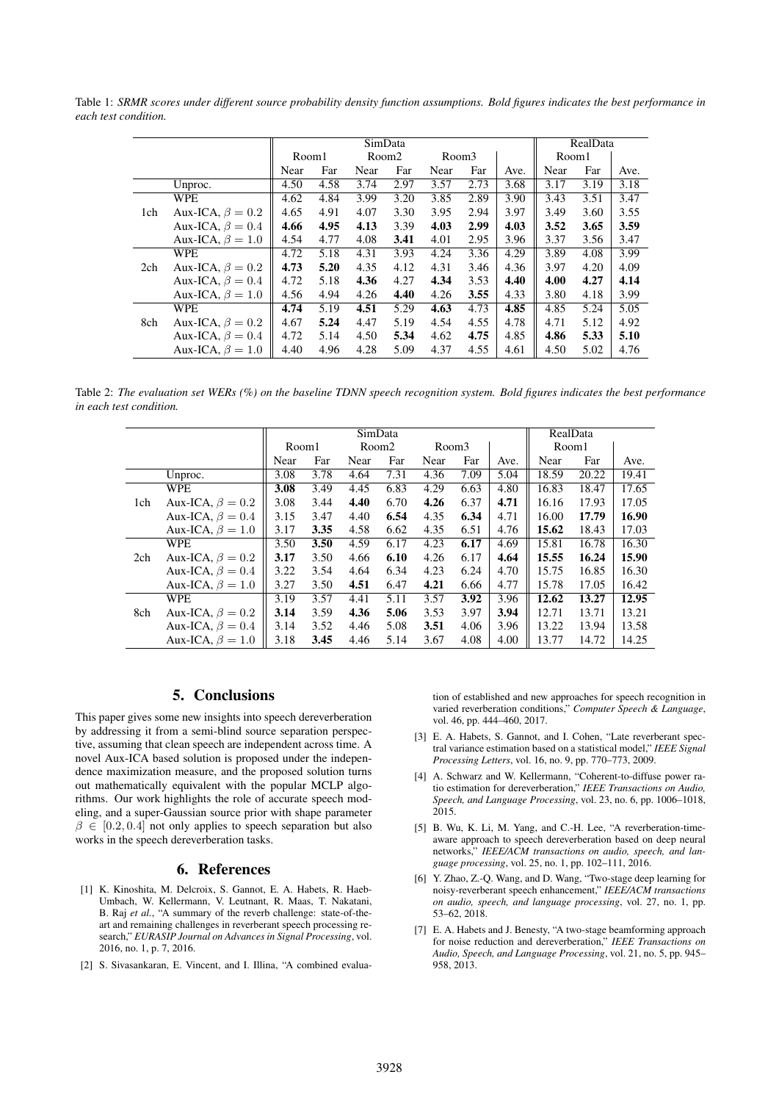Table 1: *SRMR scores under different source probability density function assumptions. Bold figures indicates the best performance in each test condition.*

|     |                        | SimData |      |                   |      |       |      |      | RealData |      |      |
|-----|------------------------|---------|------|-------------------|------|-------|------|------|----------|------|------|
|     |                        | Room1   |      | Room <sub>2</sub> |      | Room3 |      |      | Room1    |      |      |
|     |                        | Near    | Far  | Near              | Far  | Near  | Far  | Ave. | Near     | Far  | Ave. |
|     | Unproc.                | 4.50    | 4.58 | 3.74              | 2.97 | 3.57  | 2.73 | 3.68 | 3.17     | 3.19 | 3.18 |
|     | <b>WPE</b>             | 4.62    | 4.84 | 3.99              | 3.20 | 3.85  | 2.89 | 3.90 | 3.43     | 3.51 | 3.47 |
| 1ch | Aux-ICA, $\beta = 0.2$ | 4.65    | 4.91 | 4.07              | 3.30 | 3.95  | 2.94 | 3.97 | 3.49     | 3.60 | 3.55 |
|     | Aux-ICA, $\beta = 0.4$ | 4.66    | 4.95 | 4.13              | 3.39 | 4.03  | 2.99 | 4.03 | 3.52     | 3.65 | 3.59 |
|     | Aux-ICA, $\beta = 1.0$ | 4.54    | 4.77 | 4.08              | 3.41 | 4.01  | 2.95 | 3.96 | 3.37     | 3.56 | 3.47 |
|     | <b>WPE</b>             | 4.72    | 5.18 | 4.31              | 3.93 | 4.24  | 3.36 | 4.29 | 3.89     | 4.08 | 3.99 |
| 2ch | Aux-ICA, $\beta = 0.2$ | 4.73    | 5.20 | 4.35              | 4.12 | 4.31  | 3.46 | 4.36 | 3.97     | 4.20 | 4.09 |
|     | Aux-ICA, $\beta = 0.4$ | 4.72    | 5.18 | 4.36              | 4.27 | 4.34  | 3.53 | 4.40 | 4.00     | 4.27 | 4.14 |
|     | Aux-ICA, $\beta = 1.0$ | 4.56    | 4.94 | 4.26              | 4.40 | 4.26  | 3.55 | 4.33 | 3.80     | 4.18 | 3.99 |
|     | <b>WPE</b>             | 4.74    | 5.19 | 4.51              | 5.29 | 4.63  | 4.73 | 4.85 | 4.85     | 5.24 | 5.05 |
| 8ch | Aux-ICA, $\beta = 0.2$ | 4.67    | 5.24 | 4.47              | 5.19 | 4.54  | 4.55 | 4.78 | 4.71     | 5.12 | 4.92 |
|     | Aux-ICA, $\beta = 0.4$ | 4.72    | 5.14 | 4.50              | 5.34 | 4.62  | 4.75 | 4.85 | 4.86     | 5.33 | 5.10 |
|     | Aux-ICA, $\beta = 1.0$ | 4.40    | 4.96 | 4.28              | 5.09 | 4.37  | 4.55 | 4.61 | 4.50     | 5.02 | 4.76 |

Table 2: *The evaluation set WERs (%) on the baseline TDNN speech recognition system. Bold figures indicates the best performance in each test condition.*

|     |                        | SimData |      |                   |      |       |      | RealData |       |       |       |
|-----|------------------------|---------|------|-------------------|------|-------|------|----------|-------|-------|-------|
|     |                        | Room1   |      | Room <sub>2</sub> |      | Room3 |      |          | Room1 |       |       |
|     |                        | Near    | Far  | Near              | Far  | Near  | Far  | Ave.     | Near  | Far   | Ave.  |
|     | Unproc.                | 3.08    | 3.78 | 4.64              | 7.31 | 4.36  | 7.09 | 5.04     | 18.59 | 20.22 | 19.41 |
|     | <b>WPE</b>             | 3.08    | 3.49 | 4.45              | 6.83 | 4.29  | 6.63 | 4.80     | 16.83 | 18.47 | 17.65 |
| 1ch | Aux-ICA, $\beta = 0.2$ | 3.08    | 3.44 | 4.40              | 6.70 | 4.26  | 6.37 | 4.71     | 16.16 | 17.93 | 17.05 |
|     | Aux-ICA, $\beta = 0.4$ | 3.15    | 3.47 | 4.40              | 6.54 | 4.35  | 6.34 | 4.71     | 16.00 | 17.79 | 16.90 |
|     | Aux-ICA, $\beta = 1.0$ | 3.17    | 3.35 | 4.58              | 6.62 | 4.35  | 6.51 | 4.76     | 15.62 | 18.43 | 17.03 |
|     | <b>WPE</b>             | 3.50    | 3.50 | 4.59              | 6.17 | 4.23  | 6.17 | 4.69     | 15.81 | 16.78 | 16.30 |
| 2ch | Aux-ICA, $\beta = 0.2$ | 3.17    | 3.50 | 4.66              | 6.10 | 4.26  | 6.17 | 4.64     | 15.55 | 16.24 | 15.90 |
|     | Aux-ICA, $\beta = 0.4$ | 3.22    | 3.54 | 4.64              | 6.34 | 4.23  | 6.24 | 4.70     | 15.75 | 16.85 | 16.30 |
|     | Aux-ICA, $\beta = 1.0$ | 3.27    | 3.50 | 4.51              | 6.47 | 4.21  | 6.66 | 4.77     | 15.78 | 17.05 | 16.42 |
|     | <b>WPE</b>             | 3.19    | 3.57 | 4.41              | 5.11 | 3.57  | 3.92 | 3.96     | 12.62 | 13.27 | 12.95 |
| 8ch | Aux-ICA, $\beta = 0.2$ | 3.14    | 3.59 | 4.36              | 5.06 | 3.53  | 3.97 | 3.94     | 12.71 | 13.71 | 13.21 |
|     | Aux-ICA, $\beta = 0.4$ | 3.14    | 3.52 | 4.46              | 5.08 | 3.51  | 4.06 | 3.96     | 13.22 | 13.94 | 13.58 |
|     | Aux-ICA, $\beta = 1.0$ | 3.18    | 3.45 | 4.46              | 5.14 | 3.67  | 4.08 | 4.00     | 13.77 | 14.72 | 14.25 |

# 5. Conclusions

This paper gives some new insights into speech dereverberation by addressing it from a semi-blind source separation perspective, assuming that clean speech are independent across time. A novel Aux-ICA based solution is proposed under the independence maximization measure, and the proposed solution turns out mathematically equivalent with the popular MCLP algorithms. Our work highlights the role of accurate speech modeling, and a super-Gaussian source prior with shape parameter  $\beta \in [0.2, 0.4]$  not only applies to speech separation but also works in the speech dereverberation tasks.

#### 6. References

- [1] K. Kinoshita, M. Delcroix, S. Gannot, E. A. Habets, R. Haeb-Umbach, W. Kellermann, V. Leutnant, R. Maas, T. Nakatani, B. Raj *et al.*, "A summary of the reverb challenge: state-of-theart and remaining challenges in reverberant speech processing research," *EURASIP Journal on Advances in Signal Processing*, vol. 2016, no. 1, p. 7, 2016.
- [2] S. Sivasankaran, E. Vincent, and I. Illina, "A combined evalua-

tion of established and new approaches for speech recognition in varied reverberation conditions," *Computer Speech & Language*, vol. 46, pp. 444–460, 2017.

- [3] E. A. Habets, S. Gannot, and I. Cohen, "Late reverberant spectral variance estimation based on a statistical model," *IEEE Signal Processing Letters*, vol. 16, no. 9, pp. 770–773, 2009.
- [4] A. Schwarz and W. Kellermann, "Coherent-to-diffuse power ratio estimation for dereverberation," *IEEE Transactions on Audio, Speech, and Language Processing*, vol. 23, no. 6, pp. 1006–1018, 2015.
- [5] B. Wu, K. Li, M. Yang, and C.-H. Lee, "A reverberation-timeaware approach to speech dereverberation based on deep neural networks," *IEEE/ACM transactions on audio, speech, and language processing*, vol. 25, no. 1, pp. 102–111, 2016.
- [6] Y. Zhao, Z.-Q. Wang, and D. Wang, "Two-stage deep learning for noisy-reverberant speech enhancement," *IEEE/ACM transactions on audio, speech, and language processing*, vol. 27, no. 1, pp. 53–62, 2018.
- [7] E. A. Habets and J. Benesty, "A two-stage beamforming approach for noise reduction and dereverberation," *IEEE Transactions on Audio, Speech, and Language Processing*, vol. 21, no. 5, pp. 945– 958, 2013.